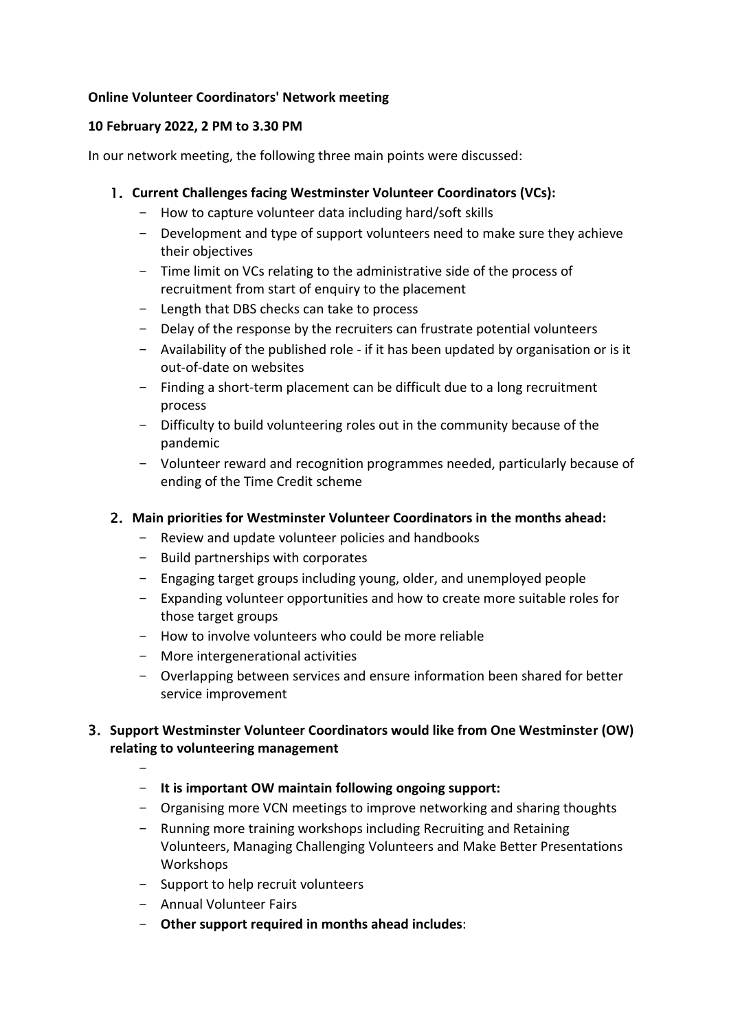## **Online Volunteer Coordinators' Network meeting**

### **10 February 2022, 2 PM to 3.30 PM**

In our network meeting, the following three main points were discussed:

## 1. **Current Challenges facing Westminster Volunteer Coordinators (VCs):**

- How to capture volunteer data including hard/soft skills
- Development and type of support volunteers need to make sure they achieve their objectives
- Time limit on VCs relating to the administrative side of the process of recruitment from start of enquiry to the placement
- Length that DBS checks can take to process
- Delay of the response by the recruiters can frustrate potential volunteers
- Availability of the published role if it has been updated by organisation or is it out-of-date on websites
- Finding a short-term placement can be difficult due to a long recruitment process
- Difficulty to build volunteering roles out in the community because of the pandemic
- Volunteer reward and recognition programmes needed, particularly because of ending of the Time Credit scheme

### 2. **Main priorities for Westminster Volunteer Coordinators in the months ahead:**

- Review and update volunteer policies and handbooks
- Build partnerships with corporates
- Engaging target groups including young, older, and unemployed people
- Expanding volunteer opportunities and how to create more suitable roles for those target groups
- How to involve volunteers who could be more reliable
- More intergenerational activities
- Overlapping between services and ensure information been shared for better service improvement

# 3. **Support Westminster Volunteer Coordinators would like from One Westminster (OW) relating to volunteering management**

- **It is important OW maintain following ongoing support:**
- Organising more VCN meetings to improve networking and sharing thoughts
- Running more training workshops including Recruiting and Retaining Volunteers, Managing Challenging Volunteers and Make Better Presentations **Workshops**
- Support to help recruit volunteers
- Annual Volunteer Fairs

-

- **Other support required in months ahead includes**: